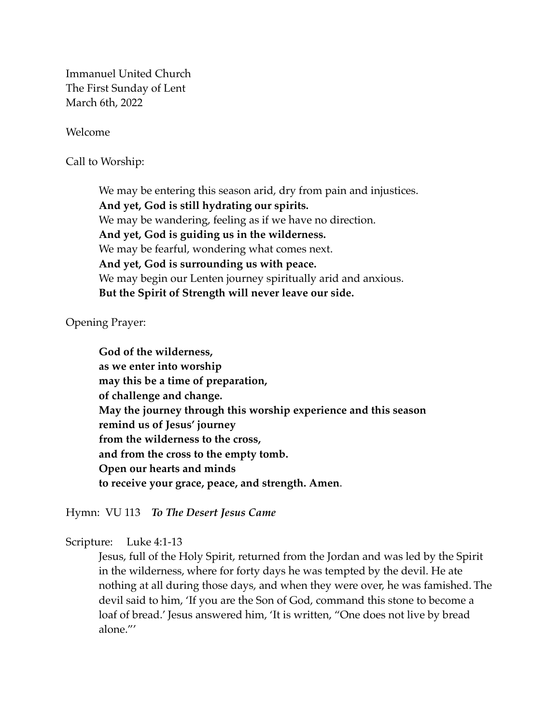Immanuel United Church The First Sunday of Lent March 6th, 2022

Welcome

Call to Worship:

We may be entering this season arid, dry from pain and injustices. **And yet, God is still hydrating our spirits.** We may be wandering, feeling as if we have no direction. **And yet, God is guiding us in the wilderness.** We may be fearful, wondering what comes next. **And yet, God is surrounding us with peace.** We may begin our Lenten journey spiritually arid and anxious. **But the Spirit of Strength will never leave our side.**

Opening Prayer:

**God of the wilderness, as we enter into worship may this be a time of preparation, of challenge and change. May the journey through this worship experience and this season remind us of Jesus' journey from the wilderness to the cross, and from the cross to the empty tomb. Open our hearts and minds to receive your grace, peace, and strength. Amen**.

Hymn: VU 113 *To The Desert Jesus Came*

Scripture: Luke 4:1-13

Jesus, full of the Holy Spirit, returned from the Jordan and was led by the Spirit in the wilderness, where for forty days he was tempted by the devil. He ate nothing at all during those days, and when they were over, he was famished. The devil said to him, 'If you are the Son of God, command this stone to become a loaf of bread.' Jesus answered him, 'It is written, "One does not live by bread alone."'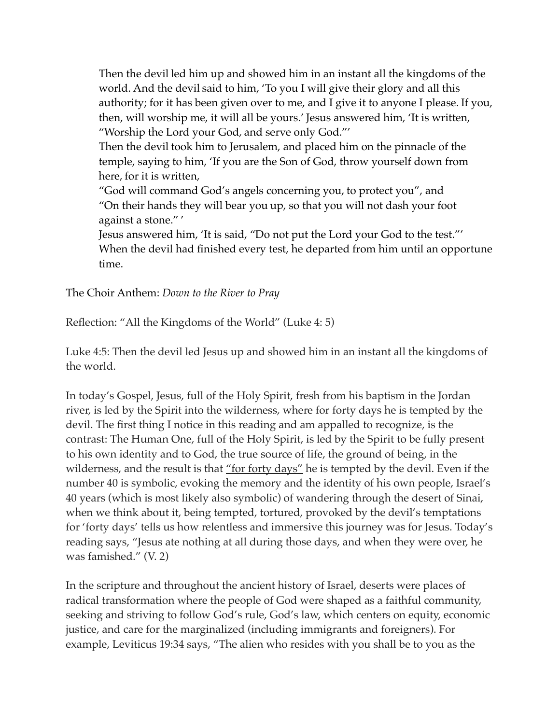Then the devil led him up and showed him in an instant all the kingdoms of the world. And the devil said to him, 'To you I will give their glory and all this authority; for it has been given over to me, and I give it to anyone I please. If you, then, will worship me, it will all be yours.' Jesus answered him, 'It is written, "Worship the Lord your God, and serve only God."'

Then the devil took him to Jerusalem, and placed him on the pinnacle of the temple, saying to him, 'If you are the Son of God, throw yourself down from here, for it is written,

"God will command God's angels concerning you, to protect you", and "On their hands they will bear you up, so that you will not dash your foot against a stone." '

Jesus answered him, 'It is said, "Do not put the Lord your God to the test."' When the devil had finished every test, he departed from him until an opportune time.

The Choir Anthem: *Down to the River to Pray* 

Reflection: "All the Kingdoms of the World" (Luke 4: 5)

Luke 4:5: Then the devil led Jesus up and showed him in an instant all the kingdoms of the world.

In today's Gospel, Jesus, full of the Holy Spirit, fresh from his baptism in the Jordan river, is led by the Spirit into the wilderness, where for forty days he is tempted by the devil. The first thing I notice in this reading and am appalled to recognize, is the contrast: The Human One, full of the Holy Spirit, is led by the Spirit to be fully present to his own identity and to God, the true source of life, the ground of being, in the wilderness, and the result is that "for forty days" he is tempted by the devil. Even if the number 40 is symbolic, evoking the memory and the identity of his own people, Israel's 40 years (which is most likely also symbolic) of wandering through the desert of Sinai, when we think about it, being tempted, tortured, provoked by the devil's temptations for 'forty days' tells us how relentless and immersive this journey was for Jesus. Today's reading says, "Jesus ate nothing at all during those days, and when they were over, he was famished." (V. 2)

In the scripture and throughout the ancient history of Israel, deserts were places of radical transformation where the people of God were shaped as a faithful community, seeking and striving to follow God's rule, God's law, which centers on equity, economic justice, and care for the marginalized (including immigrants and foreigners). For example, Leviticus 19:34 says, "The alien who resides with you shall be to you as the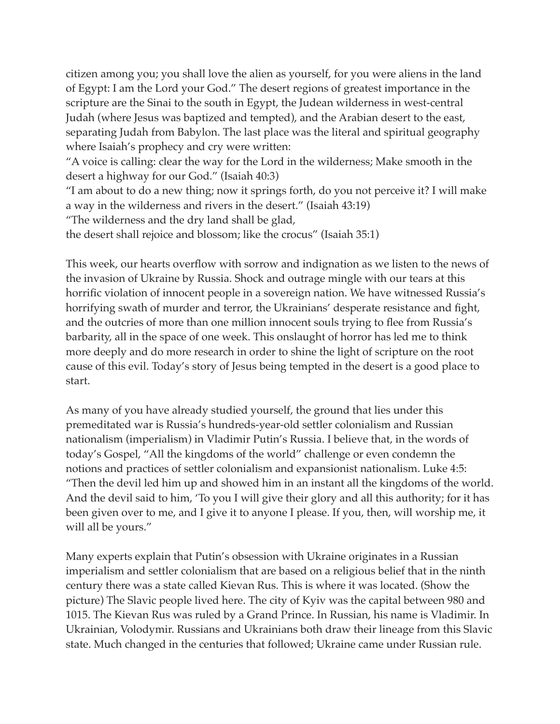citizen among you; you shall love the alien as yourself, for you were aliens in the land of Egypt: I am the Lord your God." The desert regions of greatest importance in the scripture are the Sinai to the south in Egypt, the Judean wilderness in west-central Judah (where Jesus was baptized and tempted), and the Arabian desert to the east, separating Judah from Babylon. The last place was the literal and spiritual geography where Isaiah's prophecy and cry were written:

"A voice is calling: clear the way for the Lord in the wilderness; Make smooth in the desert a highway for our God." (Isaiah 40:3)

"I am about to do a new thing; now it springs forth, do you not perceive it? I will make a way in the wilderness and rivers in the desert." (Isaiah 43:19)

"The wilderness and the dry land shall be glad,

the desert shall rejoice and blossom; like the crocus" (Isaiah 35:1)

This week, our hearts overflow with sorrow and indignation as we listen to the news of the invasion of Ukraine by Russia. Shock and outrage mingle with our tears at this horrific violation of innocent people in a sovereign nation. We have witnessed Russia's horrifying swath of murder and terror, the Ukrainians' desperate resistance and fight, and the outcries of more than one million innocent souls trying to flee from Russia's barbarity, all in the space of one week. This onslaught of horror has led me to think more deeply and do more research in order to shine the light of scripture on the root cause of this evil. Today's story of Jesus being tempted in the desert is a good place to start.

As many of you have already studied yourself, the ground that lies under this premeditated war is Russia's hundreds-year-old settler colonialism and Russian nationalism (imperialism) in Vladimir Putin's Russia. I believe that, in the words of today's Gospel, "All the kingdoms of the world" challenge or even condemn the notions and practices of settler colonialism and expansionist nationalism. Luke 4:5: "Then the devil led him up and showed him in an instant all the kingdoms of the world. And the devil said to him, 'To you I will give their glory and all this authority; for it has been given over to me, and I give it to anyone I please. If you, then, will worship me, it will all be yours."

Many experts explain that Putin's obsession with Ukraine originates in a Russian imperialism and settler colonialism that are based on a religious belief that in the ninth century there was a state called Kievan Rus. This is where it was located. (Show the picture) The Slavic people lived here. The city of Kyiv was the capital between 980 and 1015. The Kievan Rus was ruled by a Grand Prince. In Russian, his name is Vladimir. In Ukrainian, Volodymir. Russians and Ukrainians both draw their lineage from this Slavic state. Much changed in the centuries that followed; Ukraine came under Russian rule.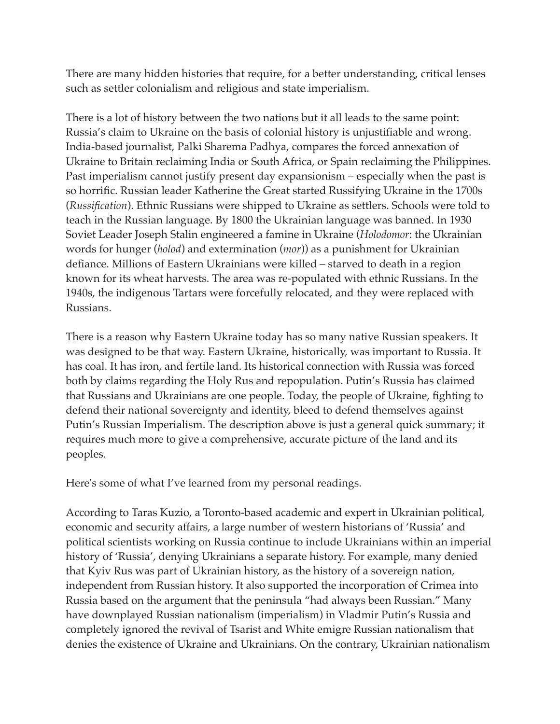There are many hidden histories that require, for a better understanding, critical lenses such as settler colonialism and religious and state imperialism.

There is a lot of history between the two nations but it all leads to the same point: Russia's claim to Ukraine on the basis of colonial history is unjustifiable and wrong. India-based journalist, Palki Sharema Padhya, compares the forced annexation of Ukraine to Britain reclaiming India or South Africa, or Spain reclaiming the Philippines. Past imperialism cannot justify present day expansionism – especially when the past is so horrific. Russian leader Katherine the Great started Russifying Ukraine in the 1700s (*Russification*). Ethnic Russians were shipped to Ukraine as settlers. Schools were told to teach in the Russian language. By 1800 the Ukrainian language was banned. In 1930 Soviet Leader Joseph Stalin engineered a famine in Ukraine (*Holodomor*: the Ukrainian words for hunger (*holod*) and extermination (*mor*)) as a punishment for Ukrainian defiance. Millions of Eastern Ukrainians were killed – starved to death in a region known for its wheat harvests. The area was re-populated with ethnic Russians. In the 1940s, the indigenous Tartars were forcefully relocated, and they were replaced with Russians.

There is a reason why Eastern Ukraine today has so many native Russian speakers. It was designed to be that way. Eastern Ukraine, historically, was important to Russia. It has coal. It has iron, and fertile land. Its historical connection with Russia was forced both by claims regarding the Holy Rus and repopulation. Putin's Russia has claimed that Russians and Ukrainians are one people. Today, the people of Ukraine, fighting to defend their national sovereignty and identity, bleed to defend themselves against Putin's Russian Imperialism. The description above is just a general quick summary; it requires much more to give a comprehensive, accurate picture of the land and its peoples.

Here's some of what I've learned from my personal readings.

According to Taras Kuzio, a Toronto-based academic and expert in Ukrainian political, economic and security affairs, a large number of western historians of 'Russia' and political scientists working on Russia continue to include Ukrainians within an imperial history of 'Russia', denying Ukrainians a separate history. For example, many denied that Kyiv Rus was part of Ukrainian history, as the history of a sovereign nation, independent from Russian history. It also supported the incorporation of Crimea into Russia based on the argument that the peninsula "had always been Russian." Many have downplayed Russian nationalism (imperialism) in Vladmir Putin's Russia and completely ignored the revival of Tsarist and White emigre Russian nationalism that denies the existence of Ukraine and Ukrainians. On the contrary, Ukrainian nationalism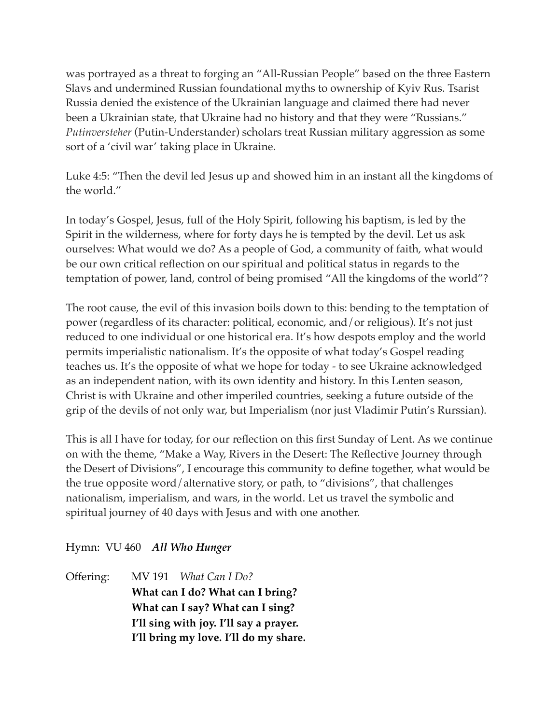was portrayed as a threat to forging an "All-Russian People" based on the three Eastern Slavs and undermined Russian foundational myths to ownership of Kyiv Rus. Tsarist Russia denied the existence of the Ukrainian language and claimed there had never been a Ukrainian state, that Ukraine had no history and that they were "Russians." *Putinversteher* (Putin-Understander) scholars treat Russian military aggression as some sort of a 'civil war' taking place in Ukraine.

Luke 4:5: "Then the devil led Jesus up and showed him in an instant all the kingdoms of the world."

In today's Gospel, Jesus, full of the Holy Spirit, following his baptism, is led by the Spirit in the wilderness, where for forty days he is tempted by the devil. Let us ask ourselves: What would we do? As a people of God, a community of faith, what would be our own critical reflection on our spiritual and political status in regards to the temptation of power, land, control of being promised "All the kingdoms of the world"?

The root cause, the evil of this invasion boils down to this: bending to the temptation of power (regardless of its character: political, economic, and/or religious). It's not just reduced to one individual or one historical era. It's how despots employ and the world permits imperialistic nationalism. It's the opposite of what today's Gospel reading teaches us. It's the opposite of what we hope for today - to see Ukraine acknowledged as an independent nation, with its own identity and history. In this Lenten season, Christ is with Ukraine and other imperiled countries, seeking a future outside of the grip of the devils of not only war, but Imperialism (nor just Vladimir Putin's Rurssian).

This is all I have for today, for our reflection on this first Sunday of Lent. As we continue on with the theme, "Make a Way, Rivers in the Desert: The Reflective Journey through the Desert of Divisions", I encourage this community to define together, what would be the true opposite word/alternative story, or path, to "divisions", that challenges nationalism, imperialism, and wars, in the world. Let us travel the symbolic and spiritual journey of 40 days with Jesus and with one another.

## Hymn: VU 460 *All Who Hunger*

Offering: MV 191 *What Can I Do?*  **What can I do? What can I bring? What can I say? What can I sing? I'll sing with joy. I'll say a prayer. I'll bring my love. I'll do my share.**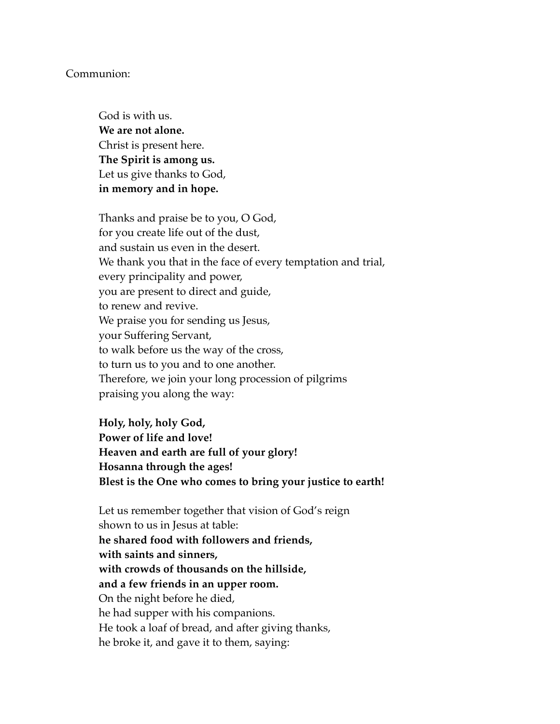## Communion:

God is with us. **We are not alone.**  Christ is present here. **The Spirit is among us.**  Let us give thanks to God, **in memory and in hope.** 

Thanks and praise be to you, O God, for you create life out of the dust, and sustain us even in the desert. We thank you that in the face of every temptation and trial, every principality and power, you are present to direct and guide, to renew and revive. We praise you for sending us Jesus, your Suffering Servant, to walk before us the way of the cross, to turn us to you and to one another. Therefore, we join your long procession of pilgrims praising you along the way:

**Holy, holy, holy God, Power of life and love! Heaven and earth are full of your glory! Hosanna through the ages! Blest is the One who comes to bring your justice to earth!**

Let us remember together that vision of God's reign shown to us in Jesus at table: **he shared food with followers and friends, with saints and sinners, with crowds of thousands on the hillside, and a few friends in an upper room.** On the night before he died, he had supper with his companions. He took a loaf of bread, and after giving thanks, he broke it, and gave it to them, saying: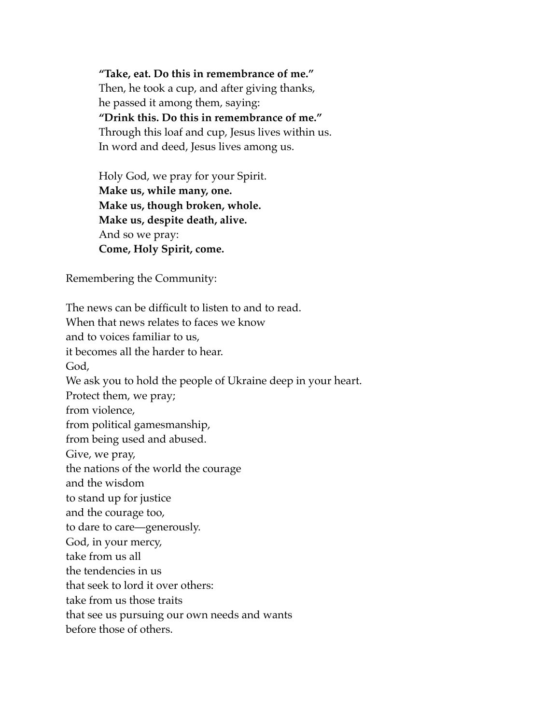**"Take, eat. Do this in remembrance of me."**  Then, he took a cup, and after giving thanks, he passed it among them, saying: **"Drink this. Do this in remembrance of me."**  Through this loaf and cup, Jesus lives within us. In word and deed, Jesus lives among us.

Holy God, we pray for your Spirit. **Make us, while many, one. Make us, though broken, whole. Make us, despite death, alive.**  And so we pray: **Come, Holy Spirit, come.** 

Remembering the Community:

The news can be difficult to listen to and to read. When that news relates to faces we know and to voices familiar to us, it becomes all the harder to hear. God, We ask you to hold the people of Ukraine deep in your heart. Protect them, we pray; from violence, from political gamesmanship, from being used and abused. Give, we pray, the nations of the world the courage and the wisdom to stand up for justice and the courage too, to dare to care―generously. God, in your mercy, take from us all the tendencies in us that seek to lord it over others: take from us those traits that see us pursuing our own needs and wants before those of others.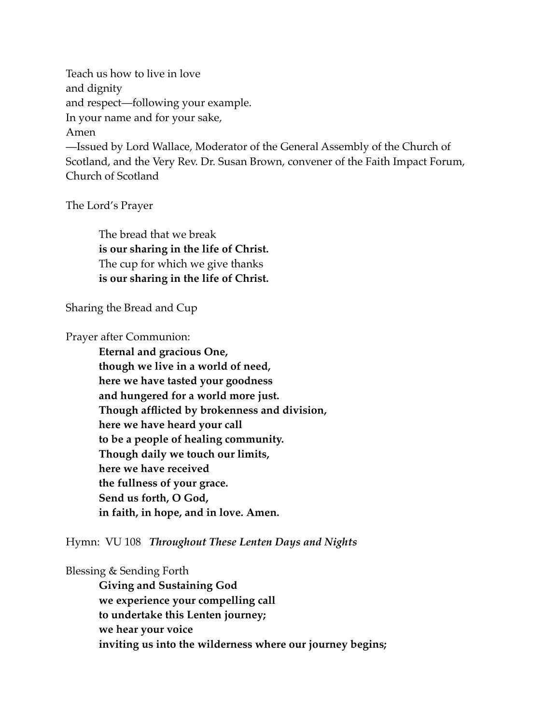Teach us how to live in love and dignity and respect―following your example. In your name and for your sake, Amen ―Issued by Lord Wallace, Moderator of the General Assembly of the Church of Scotland, and the Very Rev. Dr. Susan Brown, convener of the Faith Impact Forum, Church of Scotland

The Lord's Prayer

The bread that we break **is our sharing in the life of Christ.**  The cup for which we give thanks **is our sharing in the life of Christ.** 

Sharing the Bread and Cup

Prayer after Communion:

**Eternal and gracious One, though we live in a world of need, here we have tasted your goodness and hungered for a world more just. Though afflicted by brokenness and division, here we have heard your call to be a people of healing community. Though daily we touch our limits, here we have received the fullness of your grace. Send us forth, O God, in faith, in hope, and in love. Amen.** 

Hymn: VU 108 *Throughout These Lenten Days and Nights*

Blessing & Sending Forth

**Giving and Sustaining God we experience your compelling call to undertake this Lenten journey; we hear your voice inviting us into the wilderness where our journey begins;**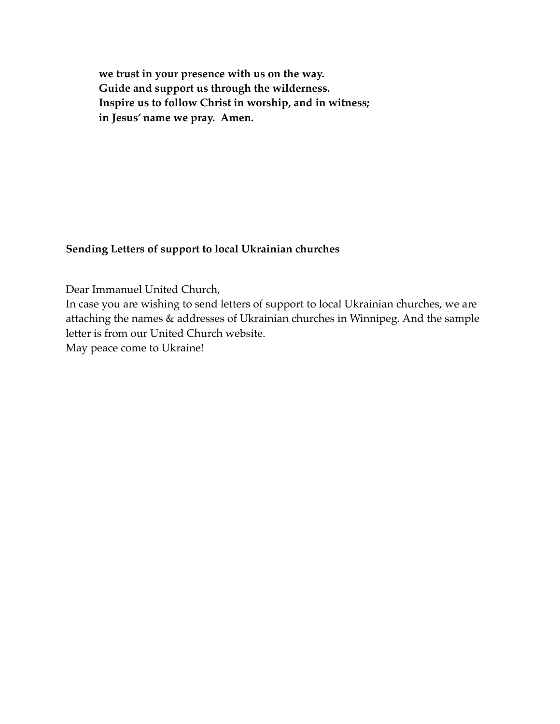**we trust in your presence with us on the way. Guide and support us through the wilderness. Inspire us to follow Christ in worship, and in witness; in Jesus' name we pray. Amen.**

## **Sending Letters of support to local Ukrainian churches**

Dear Immanuel United Church,

In case you are wishing to send letters of support to local Ukrainian churches, we are attaching the names & addresses of Ukrainian churches in Winnipeg. And the sample letter is from our United Church website.

May peace come to Ukraine!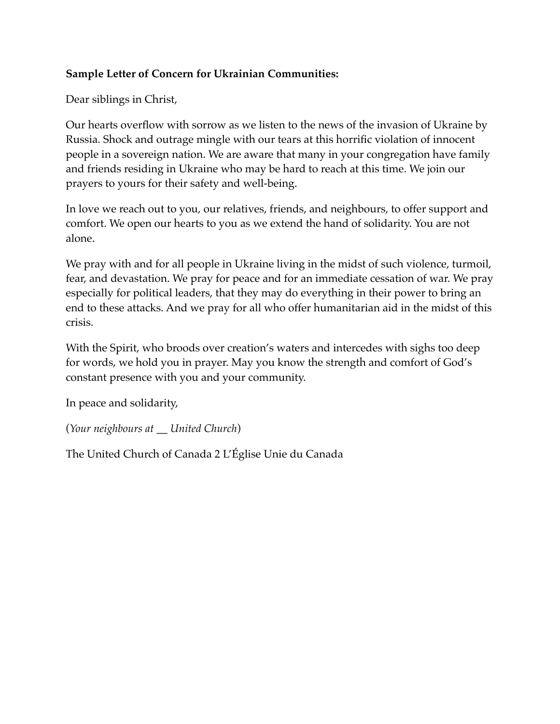## **Sample Letter of Concern for Ukrainian Communities:**

Dear siblings in Christ,

Our hearts overflow with sorrow as we listen to the news of the invasion of Ukraine by Russia. Shock and outrage mingle with our tears at this horrific violation of innocent people in a sovereign nation. We are aware that many in your congregation have family and friends residing in Ukraine who may be hard to reach at this time. We join our prayers to yours for their safety and well-being.

In love we reach out to you, our relatives, friends, and neighbours, to offer support and comfort. We open our hearts to you as we extend the hand of solidarity. You are not alone.

We pray with and for all people in Ukraine living in the midst of such violence, turmoil, fear, and devastation. We pray for peace and for an immediate cessation of war. We pray especially for political leaders, that they may do everything in their power to bring an end to these attacks. And we pray for all who offer humanitarian aid in the midst of this crisis.

With the Spirit, who broods over creation's waters and intercedes with sighs too deep for words, we hold you in prayer. May you know the strength and comfort of God's constant presence with you and your community.

In peace and solidarity,

(*Your neighbours at \_\_ United Church*)

The United Church of Canada 2 L'Église Unie du Canada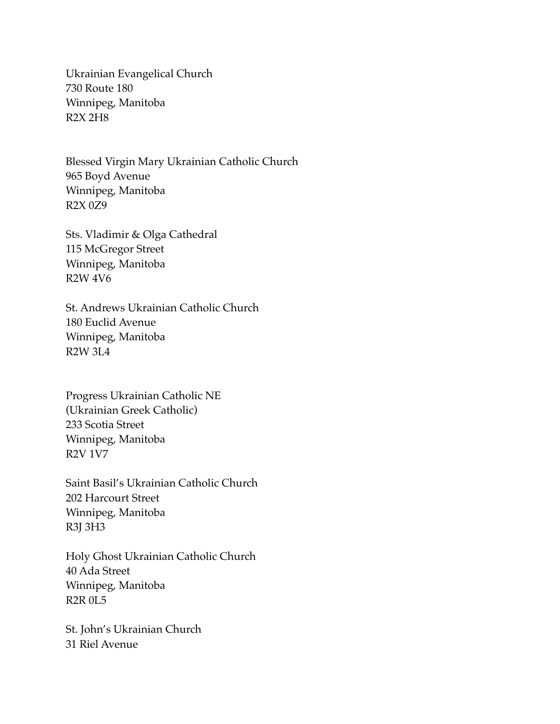Ukrainian Evangelical Church 730 Route 180 Winnipeg, Manitoba R2X 2H8

Blessed Virgin Mary Ukrainian Catholic Church 965 Boyd Avenue Winnipeg, Manitoba R2X 0Z9

Sts. Vladimir & Olga Cathedral 115 McGregor Street Winnipeg, Manitoba R2W 4V6

St. Andrews Ukrainian Catholic Church 180 Euclid Avenue Winnipeg, Manitoba R2W 3L4

Progress Ukrainian Catholic NE (Ukrainian Greek Catholic) 233 Scotia Street Winnipeg, Manitoba R2V 1V7

Saint Basil's Ukrainian Catholic Church 202 Harcourt Street Winnipeg, Manitoba R3J 3H3

Holy Ghost Ukrainian Catholic Church 40 Ada Street Winnipeg, Manitoba R2R 0L5

St. John's Ukrainian Church 31 Riel Avenue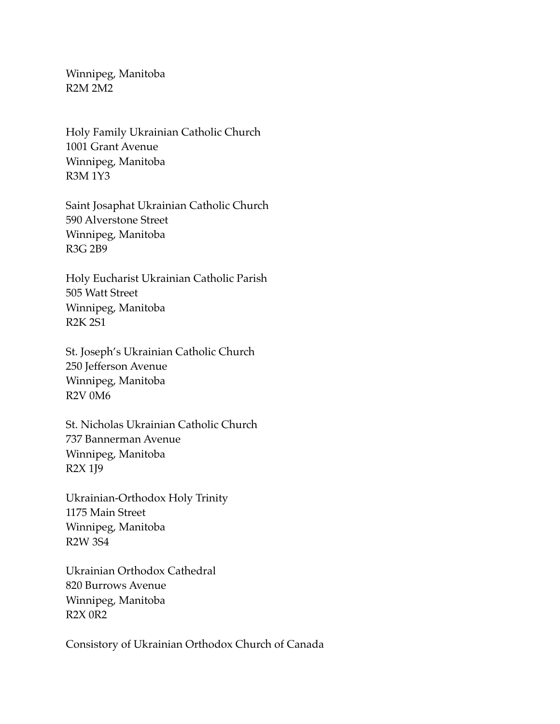Winnipeg, Manitoba R2M 2M2

Holy Family Ukrainian Catholic Church 1001 Grant Avenue Winnipeg, Manitoba R3M 1Y3

Saint Josaphat Ukrainian Catholic Church 590 Alverstone Street Winnipeg, Manitoba R3G 2B9

Holy Eucharist Ukrainian Catholic Parish 505 Watt Street Winnipeg, Manitoba R2K 2S1

St. Joseph's Ukrainian Catholic Church 250 Jefferson Avenue Winnipeg, Manitoba R2V 0M6

St. Nicholas Ukrainian Catholic Church 737 Bannerman Avenue Winnipeg, Manitoba R2X 1J9

Ukrainian-Orthodox Holy Trinity 1175 Main Street Winnipeg, Manitoba R2W 3S4

Ukrainian Orthodox Cathedral 820 Burrows Avenue Winnipeg, Manitoba R2X 0R2

Consistory of Ukrainian Orthodox Church of Canada